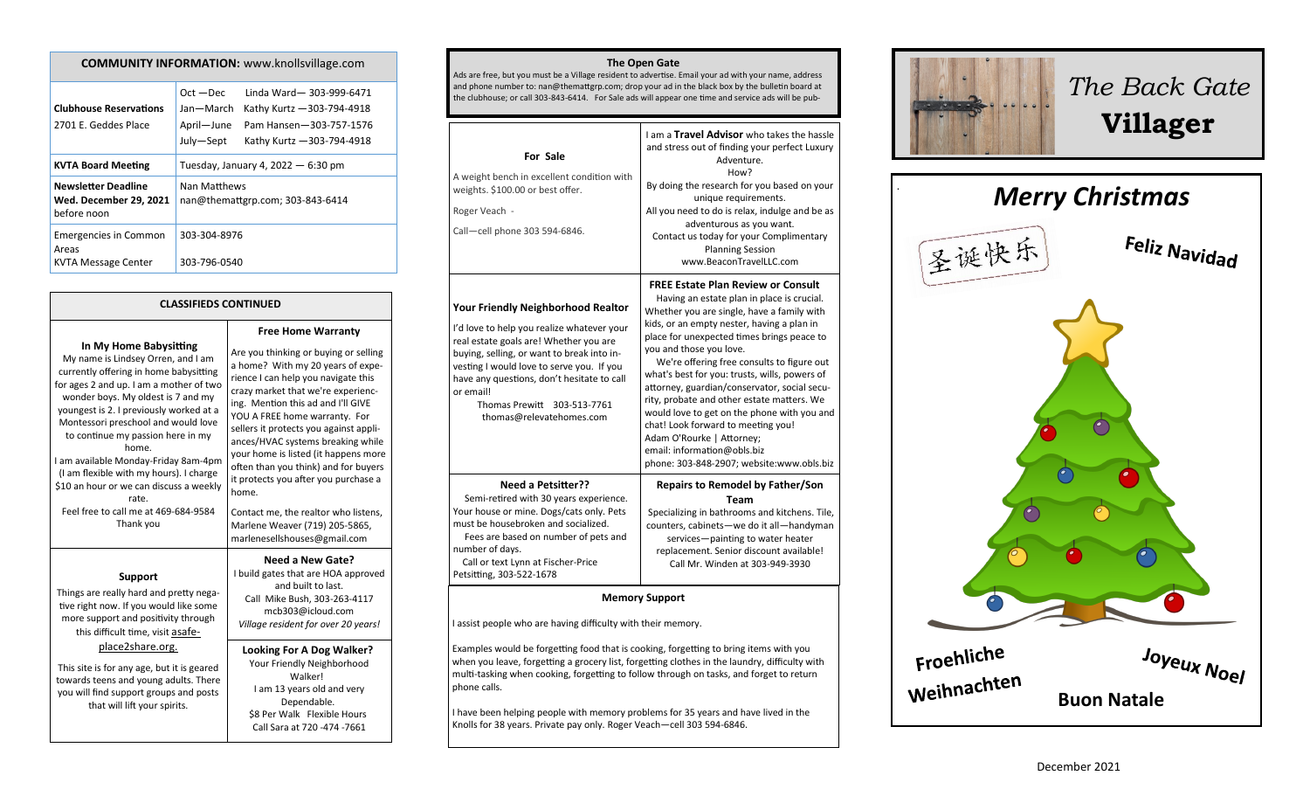| <b>CONTRONT LINFORMATION.</b> WWW.NIUIISVIIIAKE.COM                        |                                                                                                                                                                       |  |
|----------------------------------------------------------------------------|-----------------------------------------------------------------------------------------------------------------------------------------------------------------------|--|
| <b>Clubhouse Reservations</b><br>2701 E. Geddes Place                      | Linda Ward-303-999-6471<br>$Oct - Dec$<br>Jan-March<br>Kathy Kurtz - 303-794-4918<br>April-June<br>Pam Hansen-303-757-1576<br>July-Sept<br>Kathy Kurtz - 303-794-4918 |  |
| <b>KVTA Board Meeting</b>                                                  | Tuesday, January 4, 2022 $-6:30$ pm                                                                                                                                   |  |
| <b>Newsletter Deadline</b><br><b>Wed. December 29, 2021</b><br>before noon | Nan Matthews<br>nan@themattgrp.com; 303-843-6414                                                                                                                      |  |
| <b>Emergencies in Common</b><br>Areas<br><b>KVTA Message Center</b>        | 303-304-8976<br>303-796-0540                                                                                                                                          |  |

**COMMUNITY INFORMATION:** www.knollsvillage.com

### **CLASSIFIEDS CONTINUED**

**In My Home Babysitting**

My name is Lindsey Orren, and I am currently offering in home babysitting for ages 2 and up. I am a mother of two wonder boys. My oldest is 7 and my youngest is 2. I previously worked at a Montessori preschool and would love to continue my passion here in my home. I am available Monday-Friday 8am-4pm (I am flexible with my hours). I charge \$10 an hour or we can discuss a weekly rate. Feel free to call me at 469-684-9584 Thank you **Support**  Things are really hard and pretty negative right now. If you would like some more support and positivity through this difficult time, visit asafeplace2share.org. This site is for any age, but it is geared towards teens and young adults. There you will find support groups and posts that will lift your spirits.

**Free Home Warranty** Are you thinking or buying or selling a home? With my 20 years of experience I can help you navigate this crazy market that we're experiencing. Mention this ad and I'll GIVE YOU A FREE home warranty. For sellers it protects you against appliances/HVAC systems breaking while your home is listed (it happens more often than you think) and for buyers it protects you after you purchase a home. Contact me, the realtor who listens, Marlene Weaver (719) 205-5865, marlenesellshouses@gmail.com **Need a New Gate?**

I build gates that are HOA approved and built to last. Call Mike Bush, 303-263-4117 mcb303@icloud.com *Village resident for over 20 years!*

### **Looking For A Dog Walker?** Your Friendly Neighborhood Walker! I am 13 years old and very Dependable. \$8 Per Walk Flexible Hours Call Sara at 720 -474 -7661

#### **The Open Gate**

Ads are free, but you must be a Village resident to advertise. Email your ad with your name, address and phone number to: nan@themattgrp.com; drop your ad in the black box by the bulletin board at the clubhouse; or call 303-843-6414. For Sale ads will appear one time and service ads will be pub-

| For Sale<br>A weight bench in excellent condition with<br>weights. \$100.00 or best offer.<br>Roger Veach -<br>Call-cell phone 303 594-6846.                                                                                                                                                                                                          | I am a Travel Advisor who takes the hassle<br>and stress out of finding your perfect Luxury<br>Adventure.<br>How?<br>By doing the research for you based on your<br>unique requirements.<br>All you need to do is relax, indulge and be as<br>adventurous as you want.<br>Contact us today for your Complimentary<br><b>Planning Session</b><br>www.BeaconTravelLLC.com                                                                                                                                                                                                                                                                                 |  |
|-------------------------------------------------------------------------------------------------------------------------------------------------------------------------------------------------------------------------------------------------------------------------------------------------------------------------------------------------------|---------------------------------------------------------------------------------------------------------------------------------------------------------------------------------------------------------------------------------------------------------------------------------------------------------------------------------------------------------------------------------------------------------------------------------------------------------------------------------------------------------------------------------------------------------------------------------------------------------------------------------------------------------|--|
| <b>Your Friendly Neighborhood Realtor</b><br>I'd love to help you realize whatever your<br>real estate goals are! Whether you are<br>buying, selling, or want to break into in-<br>vesting I would love to serve you. If you<br>have any questions, don't hesitate to call<br>or email!<br>Thomas Prewitt<br>303-513-7761<br>thomas@relevatehomes.com | <b>FREE Estate Plan Review or Consult</b><br>Having an estate plan in place is crucial.<br>Whether you are single, have a family with<br>kids, or an empty nester, having a plan in<br>place for unexpected times brings peace to<br>you and those you love.<br>We're offering free consults to figure out<br>what's best for you: trusts, wills, powers of<br>attorney, guardian/conservator, social secu-<br>rity, probate and other estate matters. We<br>would love to get on the phone with you and<br>chat! Look forward to meeting you!<br>Adam O'Rourke   Attorney;<br>email: information@obls.biz<br>phone: 303-848-2907; website:www.obls.biz |  |
| <b>Need a Petsitter??</b><br>Semi-retired with 30 years experience.<br>Your house or mine. Dogs/cats only. Pets<br>must be housebroken and socialized.<br>Fees are based on number of pets and<br>number of days.<br>Call or text Lynn at Fischer-Price<br>Petsitting, 303-522-1678                                                                   | <b>Repairs to Remodel by Father/Son</b><br><b>Team</b><br>Specializing in bathrooms and kitchens. Tile,<br>counters, cabinets-we do it all-handyman<br>services-painting to water heater<br>replacement. Senior discount available!<br>Call Mr. Winden at 303-949-3930                                                                                                                                                                                                                                                                                                                                                                                  |  |
| <b>Memory Support</b>                                                                                                                                                                                                                                                                                                                                 |                                                                                                                                                                                                                                                                                                                                                                                                                                                                                                                                                                                                                                                         |  |
| I assist people who are having difficulty with their memory.                                                                                                                                                                                                                                                                                          |                                                                                                                                                                                                                                                                                                                                                                                                                                                                                                                                                                                                                                                         |  |
| Examples would be forgetting food that is cooking, forgetting to bring items with you                                                                                                                                                                                                                                                                 |                                                                                                                                                                                                                                                                                                                                                                                                                                                                                                                                                                                                                                                         |  |

when you leave, forgetting a grocery list, forgetting clothes in the laundry, difficulty with multi-tasking when cooking, forgetting to follow through on tasks, and forget to return phone calls.

I have been helping people with memory problems for 35 years and have lived in the Knolls for 38 years. Private pay only. Roger Veach—cell 303 594-6846.



# *The Back Gate*  **Villager**